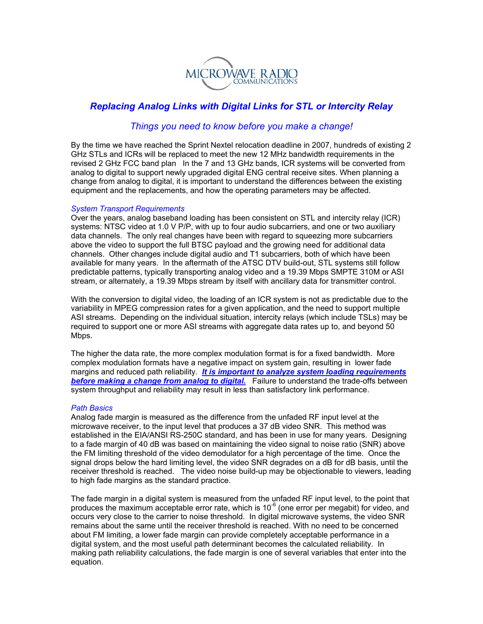

# *Replacing Analog Links with Digital Links for STL or Intercity Relay*

## *Things you need to know before you make a change!*

By the time we have reached the Sprint Nextel relocation deadline in 2007, hundreds of existing 2 GHz STLs and ICRs will be replaced to meet the new 12 MHz bandwidth requirements in the revised 2 GHz FCC band plan In the 7 and 13 GHz bands, ICR systems will be converted from analog to digital to support newly upgraded digital ENG central receive sites. When planning a change from analog to digital, it is important to understand the differences between the existing equipment and the replacements, and how the operating parameters may be affected.

## *System Transport Requirements*

Over the years, analog baseband loading has been consistent on STL and intercity relay (ICR) systems: NTSC video at 1.0 V P/P, with up to four audio subcarriers, and one or two auxiliary data channels. The only real changes have been with regard to squeezing more subcarriers above the video to support the full BTSC payload and the growing need for additional data channels. Other changes include digital audio and T1 subcarriers, both of which have been available for many years. In the aftermath of the ATSC DTV build-out, STL systems still follow predictable patterns, typically transporting analog video and a 19.39 Mbps SMPTE 310M or ASI stream, or alternately, a 19.39 Mbps stream by itself with ancillary data for transmitter control.

With the conversion to digital video, the loading of an ICR system is not as predictable due to the variability in MPEG compression rates for a given application, and the need to support multiple ASI streams. Depending on the individual situation, intercity relays (which include TSLs) may be required to support one or more ASI streams with aggregate data rates up to, and beyond 50 Mbps.

The higher the data rate, the more complex modulation format is for a fixed bandwidth. More complex modulation formats have a negative impact on system gain, resulting in lower fade margins and reduced path reliability. *It is important to analyze system loading requirements before making a change from analog to digital.* Failure to understand the trade-offs between system throughput and reliability may result in less than satisfactory link performance.

## *Path Basics*

Analog fade margin is measured as the difference from the unfaded RF input level at the microwave receiver, to the input level that produces a 37 dB video SNR. This method was established in the EIA/ANSI RS-250C standard, and has been in use for many years. Designing to a fade margin of 40 dB was based on maintaining the video signal to noise ratio (SNR) above the FM limiting threshold of the video demodulator for a high percentage of the time. Once the signal drops below the hard limiting level, the video SNR degrades on a dB for dB basis, until the receiver threshold is reached. The video noise build-up may be objectionable to viewers, leading to high fade margins as the standard practice.

The fade margin in a digital system is measured from the unfaded RF input level, to the point that produces the maximum acceptable error rate, which is 10<sup>-6</sup> (one error per megabit) for video, and occurs very close to the carrier to noise threshold. In digital microwave systems, the video SNR remains about the same until the receiver threshold is reached. With no need to be concerned about FM limiting, a lower fade margin can provide completely acceptable performance in a digital system, and the most useful path determinant becomes the calculated reliability. In making path reliability calculations, the fade margin is one of several variables that enter into the equation.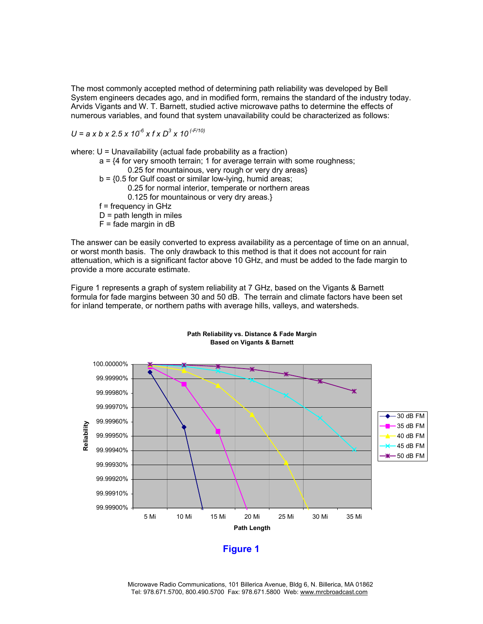The most commonly accepted method of determining path reliability was developed by Bell System engineers decades ago, and in modified form, remains the standard of the industry today. Arvids Vigants and W. T. Barnett, studied active microwave paths to determine the effects of numerous variables, and found that system unavailability could be characterized as follows:

*U = a x b x 2.5 x 10-6 x f x D3 x 10 (-F/10)*

where: U = Unavailability (actual fade probability as a fraction)

- $a = \{4 \text{ for very smooth terrain}; 1 \text{ for average terrain with some roughness};$ 0.25 for mountainous, very rough or very dry areas}  $b = \{0.5$  for Gulf coast or similar low-lying, humid areas; 0.25 for normal interior, temperate or northern areas
	- 0.125 for mountainous or very dry areas.}
	- f = frequency in GHz
	- $D =$  path length in miles
	- $F =$  fade margin in dB

The answer can be easily converted to express availability as a percentage of time on an annual, or worst month basis. The only drawback to this method is that it does not account for rain attenuation, which is a significant factor above 10 GHz, and must be added to the fade margin to provide a more accurate estimate.

Figure 1 represents a graph of system reliability at 7 GHz, based on the Vigants & Barnett formula for fade margins between 30 and 50 dB. The terrain and climate factors have been set for inland temperate, or northern paths with average hills, valleys, and watersheds.



**Path Reliability vs. Distance & Fade Margin Based on Vigants & Barnett**

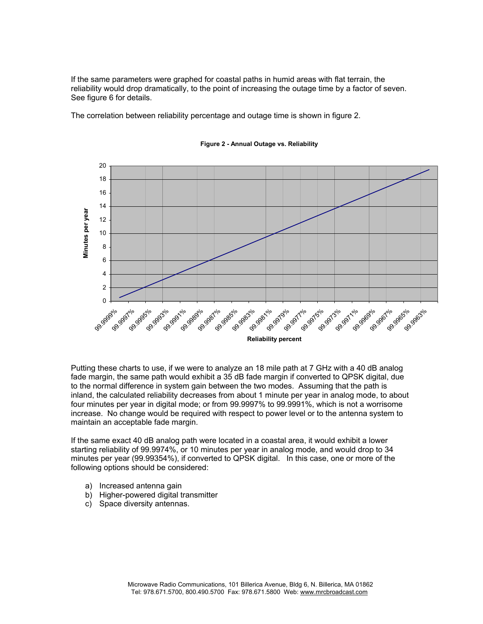If the same parameters were graphed for coastal paths in humid areas with flat terrain, the reliability would drop dramatically, to the point of increasing the outage time by a factor of seven. See figure 6 for details.

The correlation between reliability percentage and outage time is shown in figure 2.



**Figure 2 - Annual Outage vs. Reliability**

Putting these charts to use, if we were to analyze an 18 mile path at 7 GHz with a 40 dB analog fade margin, the same path would exhibit a 35 dB fade margin if converted to QPSK digital, due to the normal difference in system gain between the two modes. Assuming that the path is inland, the calculated reliability decreases from about 1 minute per year in analog mode, to about four minutes per year in digital mode; or from 99.9997% to 99.9991%, which is not a worrisome increase. No change would be required with respect to power level or to the antenna system to maintain an acceptable fade margin.

If the same exact 40 dB analog path were located in a coastal area, it would exhibit a lower starting reliability of 99.9974%, or 10 minutes per year in analog mode, and would drop to 34 minutes per year (99.99354%), if converted to QPSK digital. In this case, one or more of the following options should be considered:

- a) Increased antenna gain
- b) Higher-powered digital transmitter
- c) Space diversity antennas.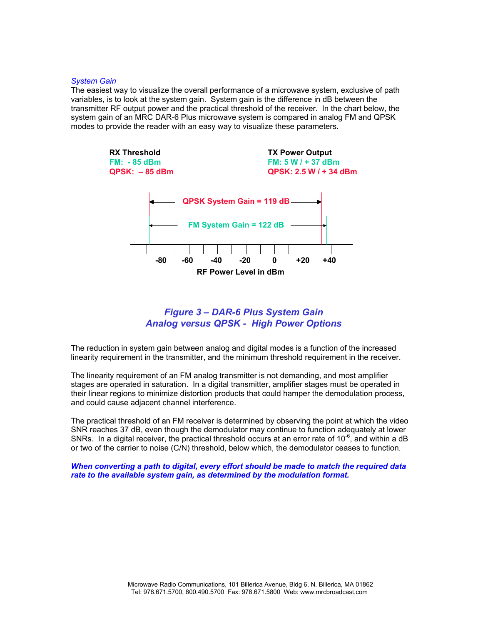#### *System Gain*

The easiest way to visualize the overall performance of a microwave system, exclusive of path variables, is to look at the system gain. System gain is the difference in dB between the transmitter RF output power and the practical threshold of the receiver. In the chart below, the system gain of an MRC DAR-6 Plus microwave system is compared in analog FM and QPSK modes to provide the reader with an easy way to visualize these parameters.



## *Figure 3 – DAR-6 Plus System Gain Analog versus QPSK - High Power Options*

The reduction in system gain between analog and digital modes is a function of the increased linearity requirement in the transmitter, and the minimum threshold requirement in the receiver.

The linearity requirement of an FM analog transmitter is not demanding, and most amplifier stages are operated in saturation. In a digital transmitter, amplifier stages must be operated in their linear regions to minimize distortion products that could hamper the demodulation process, and could cause adjacent channel interference.

The practical threshold of an FM receiver is determined by observing the point at which the video SNR reaches 37 dB, even though the demodulator may continue to function adequately at lower SNRs. In a digital receiver, the practical threshold occurs at an error rate of  $10^{-6}$ , and within a dB or two of the carrier to noise (C/N) threshold, below which, the demodulator ceases to function.

*When converting a path to digital, every effort should be made to match the required data rate to the available system gain, as determined by the modulation format.*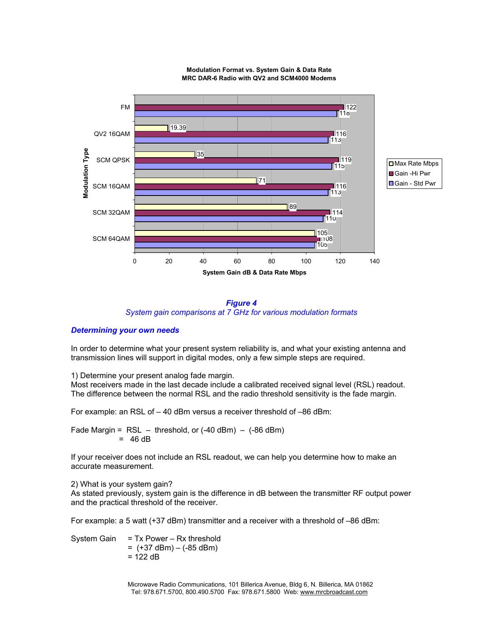

**Modulation Format vs. System Gain & Data Rate MRC DAR-6 Radio with QV2 and SCM4000 Modems**



## *Determining your own needs*

In order to determine what your present system reliability is, and what your existing antenna and transmission lines will support in digital modes, only a few simple steps are required.

1) Determine your present analog fade margin.

Most receivers made in the last decade include a calibrated received signal level (RSL) readout. The difference between the normal RSL and the radio threshold sensitivity is the fade margin.

For example: an RSL of – 40 dBm versus a receiver threshold of –86 dBm:

Fade Margin =  $RSL -$  threshold, or  $(-40$  dBm)  $(-86$  dBm)  $=$  46 dB

If your receiver does not include an RSL readout, we can help you determine how to make an accurate measurement.

## 2) What is your system gain?

As stated previously, system gain is the difference in dB between the transmitter RF output power and the practical threshold of the receiver.

For example: a 5 watt (+37 dBm) transmitter and a receiver with a threshold of –86 dBm:

System Gain  $= Tx$  Power – Rx threshold  $= (+37$  dBm $) - (-85$  dBm $)$  $= 122$  dB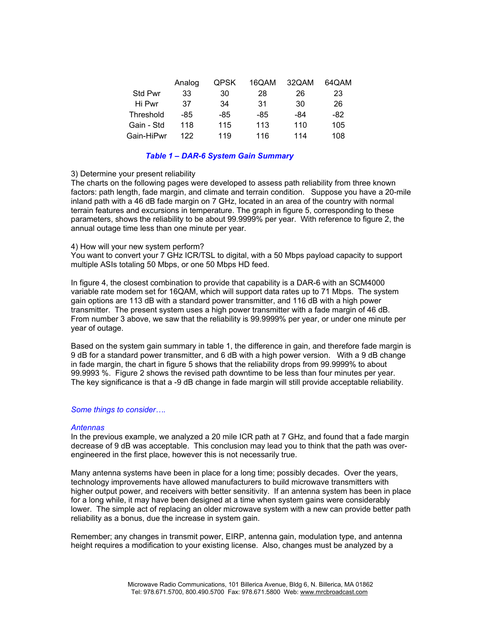|            | Analog | QPSK | 16QAM | 32QAM | 64QAM |
|------------|--------|------|-------|-------|-------|
| Std Pwr    | 33     | 30   | 28    | 26    | 23    |
| Hi Pwr     | 37     | 34   | 31    | 30    | 26    |
| Threshold  | -85    | -85  | -85   | -84   | -82   |
| Gain - Std | 118    | 115  | 113   | 110   | 105   |
| Gain-HiPwr | 122    | 119  | 116   | 114   | 108   |

## *Table 1 – DAR-6 System Gain Summary*

## 3) Determine your present reliability

The charts on the following pages were developed to assess path reliability from three known factors: path length, fade margin, and climate and terrain condition. Suppose you have a 20-mile inland path with a 46 dB fade margin on 7 GHz, located in an area of the country with normal terrain features and excursions in temperature. The graph in figure 5, corresponding to these parameters, shows the reliability to be about 99.9999% per year. With reference to figure 2, the annual outage time less than one minute per year.

## 4) How will your new system perform?

You want to convert your 7 GHz ICR/TSL to digital, with a 50 Mbps payload capacity to support multiple ASIs totaling 50 Mbps, or one 50 Mbps HD feed.

In figure 4, the closest combination to provide that capability is a DAR-6 with an SCM4000 variable rate modem set for 16QAM, which will support data rates up to 71 Mbps. The system gain options are 113 dB with a standard power transmitter, and 116 dB with a high power transmitter. The present system uses a high power transmitter with a fade margin of 46 dB. From number 3 above, we saw that the reliability is 99.9999% per year, or under one minute per year of outage.

Based on the system gain summary in table 1, the difference in gain, and therefore fade margin is 9 dB for a standard power transmitter, and 6 dB with a high power version. With a 9 dB change in fade margin, the chart in figure 5 shows that the reliability drops from 99.9999% to about 99.9993 %. Figure 2 shows the revised path downtime to be less than four minutes per year. The key significance is that a -9 dB change in fade margin will still provide acceptable reliability.

## *Some things to consider….*

## *Antennas*

In the previous example, we analyzed a 20 mile ICR path at 7 GHz, and found that a fade margin decrease of 9 dB was acceptable. This conclusion may lead you to think that the path was overengineered in the first place, however this is not necessarily true.

Many antenna systems have been in place for a long time; possibly decades. Over the years, technology improvements have allowed manufacturers to build microwave transmitters with higher output power, and receivers with better sensitivity. If an antenna system has been in place for a long while, it may have been designed at a time when system gains were considerably lower. The simple act of replacing an older microwave system with a new can provide better path reliability as a bonus, due the increase in system gain.

Remember; any changes in transmit power, EIRP, antenna gain, modulation type, and antenna height requires a modification to your existing license. Also, changes must be analyzed by a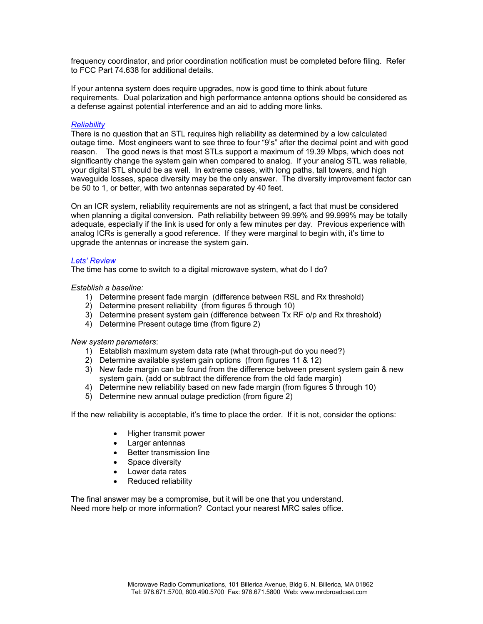frequency coordinator, and prior coordination notification must be completed before filing. Refer to FCC Part 74.638 for additional details.

If your antenna system does require upgrades, now is good time to think about future requirements. Dual polarization and high performance antenna options should be considered as a defense against potential interference and an aid to adding more links.

## *Reliability*

There is no question that an STL requires high reliability as determined by a low calculated outage time. Most engineers want to see three to four "9's" after the decimal point and with good reason. The good news is that most STLs support a maximum of 19.39 Mbps, which does not significantly change the system gain when compared to analog. If your analog STL was reliable, your digital STL should be as well. In extreme cases, with long paths, tall towers, and high waveguide losses, space diversity may be the only answer. The diversity improvement factor can be 50 to 1, or better, with two antennas separated by 40 feet.

On an ICR system, reliability requirements are not as stringent, a fact that must be considered when planning a digital conversion. Path reliability between 99.99% and 99.999% may be totally adequate, especially if the link is used for only a few minutes per day. Previous experience with analog ICRs is generally a good reference. If they were marginal to begin with, it's time to upgrade the antennas or increase the system gain.

## *Lets' Review*

The time has come to switch to a digital microwave system, what do I do?

*Establish a baseline:* 

- 1) Determine present fade margin (difference between RSL and Rx threshold)
- 2) Determine present reliability (from figures 5 through 10)
- 3) Determine present system gain (difference between Tx RF o/p and Rx threshold)
- 4) Determine Present outage time (from figure 2)

## *New system parameters*:

- 1) Establish maximum system data rate (what through-put do you need?)
- 2) Determine available system gain options (from figures 11 & 12)
- 3) New fade margin can be found from the difference between present system gain & new system gain. (add or subtract the difference from the old fade margin)
- 4) Determine new reliability based on new fade margin (from figures 5 through 10)
- 5) Determine new annual outage prediction (from figure 2)

If the new reliability is acceptable, it's time to place the order. If it is not, consider the options:

- Higher transmit power
- Larger antennas
- Better transmission line
- Space diversity
- Lower data rates
- Reduced reliability

The final answer may be a compromise, but it will be one that you understand. Need more help or more information? Contact your nearest MRC sales office.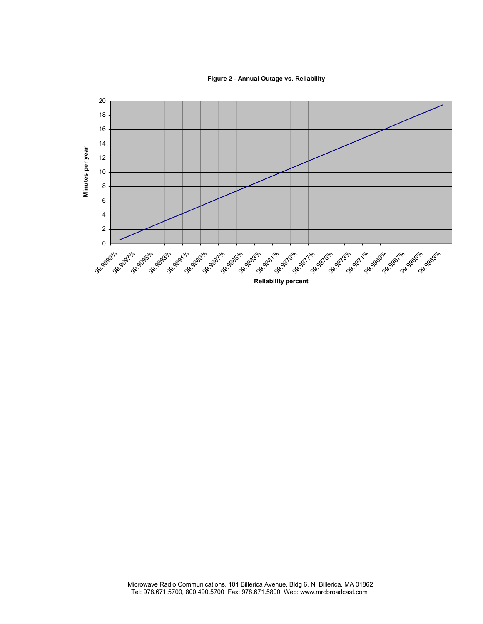**Figure 2 - Annual Outage vs. Reliability**

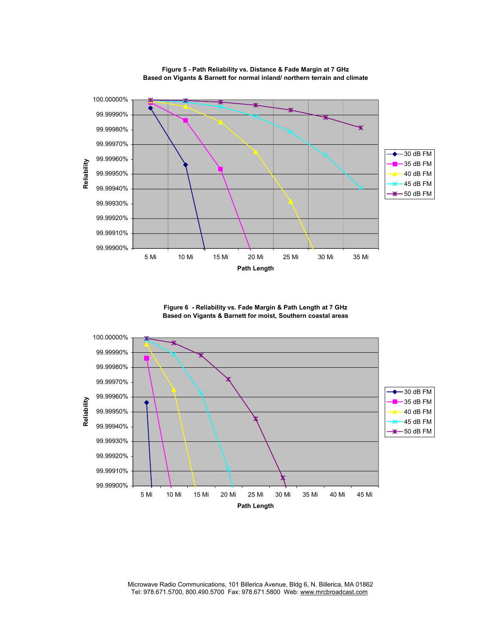

**Figure 5 - Path Reliability vs. Distance & Fade Margin at 7 GHz Based on Vigants & Barnett for normal inland/ northern terrain and climate**

**Figure 6 - Reliability vs. Fade Margin & Path Length at 7 GHz Based on Vigants & Barnett for moist, Southern coastal areas**

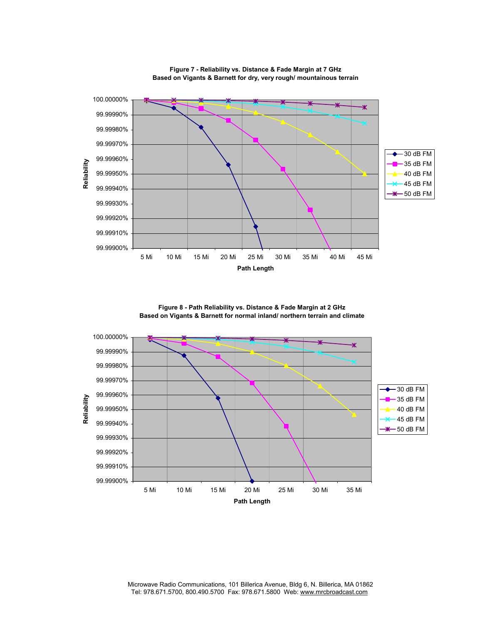

**Figure 7 - Reliability vs. Distance & Fade Margin at 7 GHz Based on Vigants & Barnett for dry, very rough/ mountainous terrain**

**Figure 8 - Path Reliability vs. Distance & Fade Margin at 2 GHz Based on Vigants & Barnett for normal inland/ northern terrain and climate**

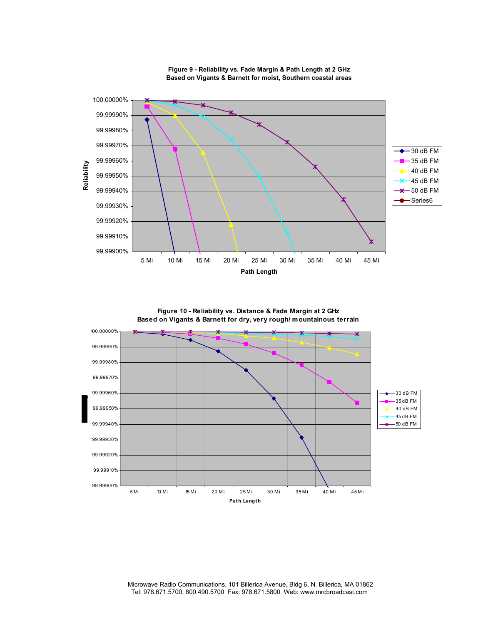

**Figure 9 - Reliability vs. Fade Margin & Path Length at 2 GHz Based on Vigants & Barnett for moist, Southern coastal areas**

**Figure 10 - Reliability vs. Distance & Fade Margin at 2 GHz Based on Vigants & Barnett for dry, very rough/ mountainous terrain**